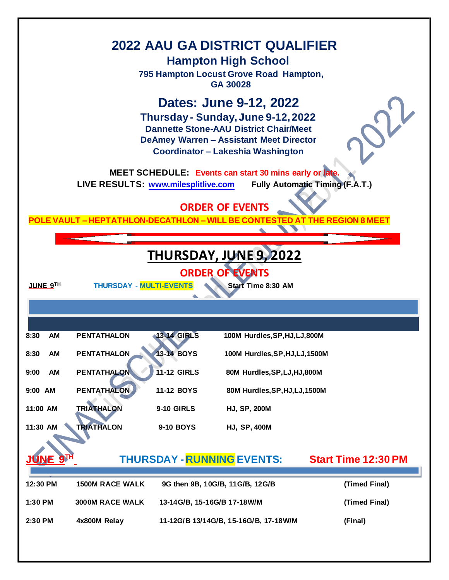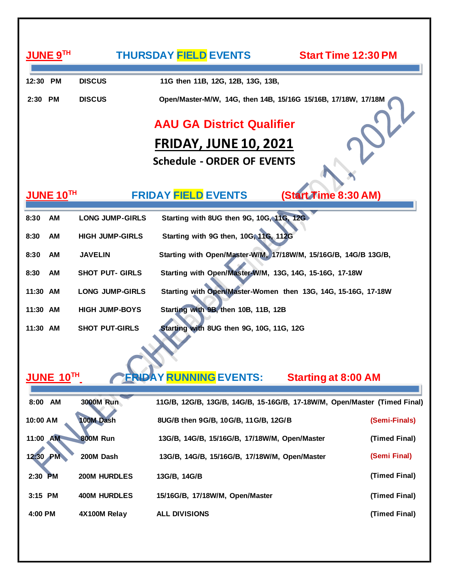| JUNE 9TH                                                                                |                        | <b>THURSDAY FIELD EVENTS</b>                                  | <b>Start Time 12:30 PM</b>                                                |  |
|-----------------------------------------------------------------------------------------|------------------------|---------------------------------------------------------------|---------------------------------------------------------------------------|--|
| 12:30 PM                                                                                | <b>DISCUS</b>          | 11G then 11B, 12G, 12B, 13G, 13B,                             |                                                                           |  |
| 2:30 PM                                                                                 | <b>DISCUS</b>          | Open/Master-M/W, 14G, then 14B, 15/16G 15/16B, 17/18W, 17/18M |                                                                           |  |
|                                                                                         |                        | <b>AAU GA District Qualifier</b>                              |                                                                           |  |
|                                                                                         |                        | <b>FRIDAY, JUNE 10, 2021</b>                                  |                                                                           |  |
|                                                                                         |                        | <b>Schedule - ORDER OF EVENTS</b>                             |                                                                           |  |
| <b>FRIDAY FIELD EVENTS</b><br>(Start Time 8:30 AM)<br>$\mathsf{JUNE}\,10^{\mathsf{TH}}$ |                        |                                                               |                                                                           |  |
| AM<br>8:30                                                                              | <b>LONG JUMP-GIRLS</b> | Starting with 8UG then 9G, 10G, 11G, 12G                      |                                                                           |  |
| 8:30<br><b>AM</b>                                                                       | <b>HIGH JUMP-GIRLS</b> | Starting with 9G then, 10G, 11G, 112G                         |                                                                           |  |
| 8:30<br>AM                                                                              | <b>JAVELIN</b>         |                                                               | Starting with Open/Master-W/M, 17/18W/M, 15/16G/B, 14G/B 13G/B,           |  |
| 8:30<br>AM                                                                              | <b>SHOT PUT- GIRLS</b> | Starting with Open/Master-W/M, 13G, 14G, 15-16G, 17-18W       |                                                                           |  |
| 11:30 AM                                                                                | <b>LONG JUMP-GIRLS</b> |                                                               | Starting with Open/Master-Women then 13G, 14G, 15-16G, 17-18W             |  |
| 11:30 AM                                                                                | <b>HIGH JUMP-BOYS</b>  | Starting with 9B, then 10B, 11B, 12B                          |                                                                           |  |
| 11:30 AM                                                                                | <b>SHOT PUT-GIRLS</b>  | Starting with 8UG then 9G, 10G, 11G, 12G                      |                                                                           |  |
|                                                                                         |                        |                                                               |                                                                           |  |
| <b>JUNE 10TH</b>                                                                        |                        | <b>ERIDAY RUNNING EVENTS:</b>                                 | <b>Starting at 8:00 AM</b>                                                |  |
| 8:00<br><b>AM</b>                                                                       | <b>3000M Run</b>       |                                                               | 11G/B, 12G/B, 13G/B, 14G/B, 15-16G/B, 17-18W/M, Open/Master (Timed Final) |  |
| 10:00 AM                                                                                | 100M Dash              | 8UG/B then 9G/B, 10G/B, 11G/B, 12G/B                          | (Semi-Finals)                                                             |  |
| 11:00 AM                                                                                | 800M Run               | 13G/B, 14G/B, 15/16G/B, 17/18W/M, Open/Master                 | (Timed Final)                                                             |  |
| <b>PM</b><br>12:30                                                                      | 200M Dash              | 13G/B, 14G/B, 15/16G/B, 17/18W/M, Open/Master                 | (Semi Final)                                                              |  |
| 2:30<br><b>PM</b>                                                                       | 200M HURDLES           | 13G/B, 14G/B                                                  | (Timed Final)                                                             |  |
| 3:15 PM                                                                                 | <b>400M HURDLES</b>    | 15/16G/B, 17/18W/M, Open/Master                               | (Timed Final)                                                             |  |
| 4:00 PM                                                                                 | 4X100M Relay           | <b>ALL DIVISIONS</b>                                          | (Timed Final)                                                             |  |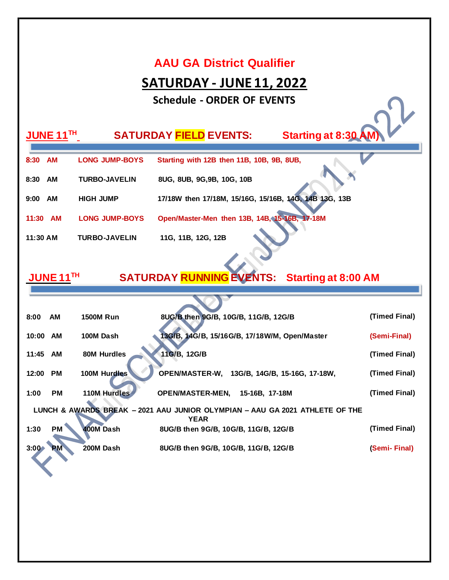#### **AAU GA District Qualifier**

## **SATURDAY - JUNE 11, 2022**

**Schedule - ORDER OF EVENTS**

| JUNE 11TH         |                       | <b>Starting at 8:30 AM)</b><br><b>SATURDAY FIELD EVENTS:</b> |
|-------------------|-----------------------|--------------------------------------------------------------|
| <b>AM</b><br>8:30 | <b>LONG JUMP-BOYS</b> | Starting with 12B then 11B, 10B, 9B, 8UB,                    |
| AM<br>8:30        | <b>TURBO-JAVELIN</b>  | 8UG, 8UB, 9G, 9B, 10G, 10B                                   |
| AM<br>9:00        | <b>HIGH JUMP</b>      | 17/18W then 17/18M, 15/16G, 15/16B, 14G, 14B 13G, 13B        |
| AM<br>11:30       | <b>LONG JUMP-BOYS</b> | Open/Master-Men then 13B, 14B, 15-16B, 17-18M                |
| $11:30$ AM        | <b>TURBO-JAVELIN</b>  | 11G, 11B, 12G, 12B                                           |

#### **JUNE 11 TH SATURDAY RUNNING EVENTS: Starting at 8:00 AM**

| 8:00  | AM        | <b>1500M Run</b> | 8UG/B then 9G/B, 10G/B, 11G/B, 12G/B                                                        | (Timed Final) |
|-------|-----------|------------------|---------------------------------------------------------------------------------------------|---------------|
| 10:00 | AM        | 100M Dash        | 13G/B, 14G/B, 15/16G/B, 17/18W/M, Open/Master                                               | (Semi-Final)  |
| 11:45 | AM        | 80M Hurdles      | 11G/B, 12G/B                                                                                | (Timed Final) |
| 12:00 | <b>PM</b> | 100M Hurdles     | <b>OPEN/MASTER-W,</b><br>13G/B, 14G/B, 15-16G, 17-18W,                                      | (Timed Final) |
| 1:00  | <b>PM</b> | 110M Hurdles     | <b>OPEN/MASTER-MEN,</b><br>15-16B. 17-18M                                                   | (Timed Final) |
|       |           |                  | LUNCH & AWARDS BREAK - 2021 AAU JUNIOR OLYMPIAN - AAU GA 2021 ATHLETE OF THE<br><b>YEAR</b> |               |
| 1:30  | <b>PM</b> | 400M Dash        | 8UG/B then 9G/B, 10G/B, 11G/B, 12G/B                                                        | (Timed Final) |
| 3:00  | РM        | 200M Dash        | 8UG/B then 9G/B, 10G/B, 11G/B, 12G/B                                                        | (Semi-Final)  |